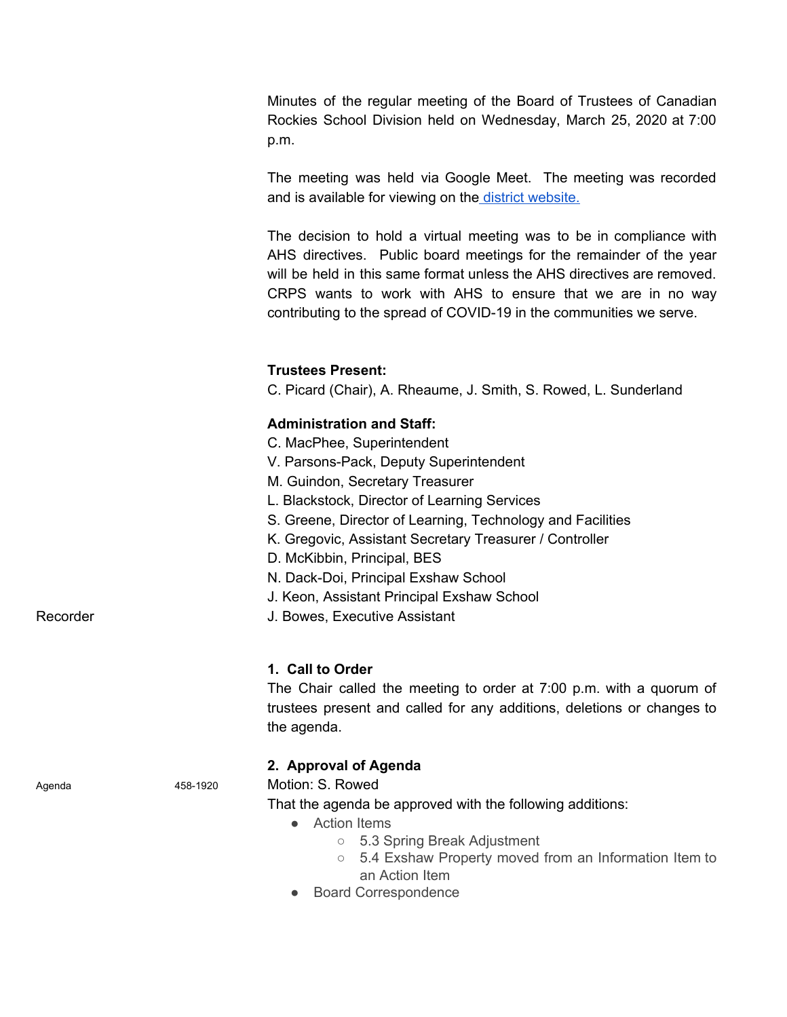Minutes of the regular meeting of the Board of Trustees of Canadian Rockies School Division held on Wednesday, March 25, 2020 at 7:00 p.m.

The meeting was held via Google Meet. The meeting was recorded and is available for viewing on the district [website.](https://drive.google.com/file/d/1kSVBqxI3gSj-ByWZ1mRpOymi3mi9xZRN/view)

The decision to hold a virtual meeting was to be in compliance with AHS directives. Public board meetings for the remainder of the year will be held in this same format unless the AHS directives are removed. CRPS wants to work with AHS to ensure that we are in no way contributing to the spread of COVID-19 in the communities we serve.

# **Trustees Present:**

C. Picard (Chair), A. Rheaume, J. Smith, S. Rowed, L. Sunderland

# **Administration and Staff:**

- C. MacPhee, Superintendent
- V. Parsons-Pack, Deputy Superintendent
- M. Guindon, Secretary Treasurer
- L. Blackstock, Director of Learning Services
- S. Greene, Director of Learning, Technology and Facilities
- K. Gregovic, Assistant Secretary Treasurer / Controller
- D. McKibbin, Principal, BES
- N. Dack-Doi, Principal Exshaw School
- J. Keon, Assistant Principal Exshaw School
- Recorder **Network** J. Bowes, Executive Assistant

#### **1. Call to Order**

The Chair called the meeting to order at 7:00 p.m. with a quorum of trustees present and called for any additions, deletions or changes to the agenda.

### **2. Approval of Agenda**

Agenda 458-1920 Motion: S. Rowed

That the agenda be approved with the following additions:

- Action Items
	- 5.3 Spring Break Adjustment
	- 5.4 Exshaw Property moved from an Information Item to an Action Item
- Board Correspondence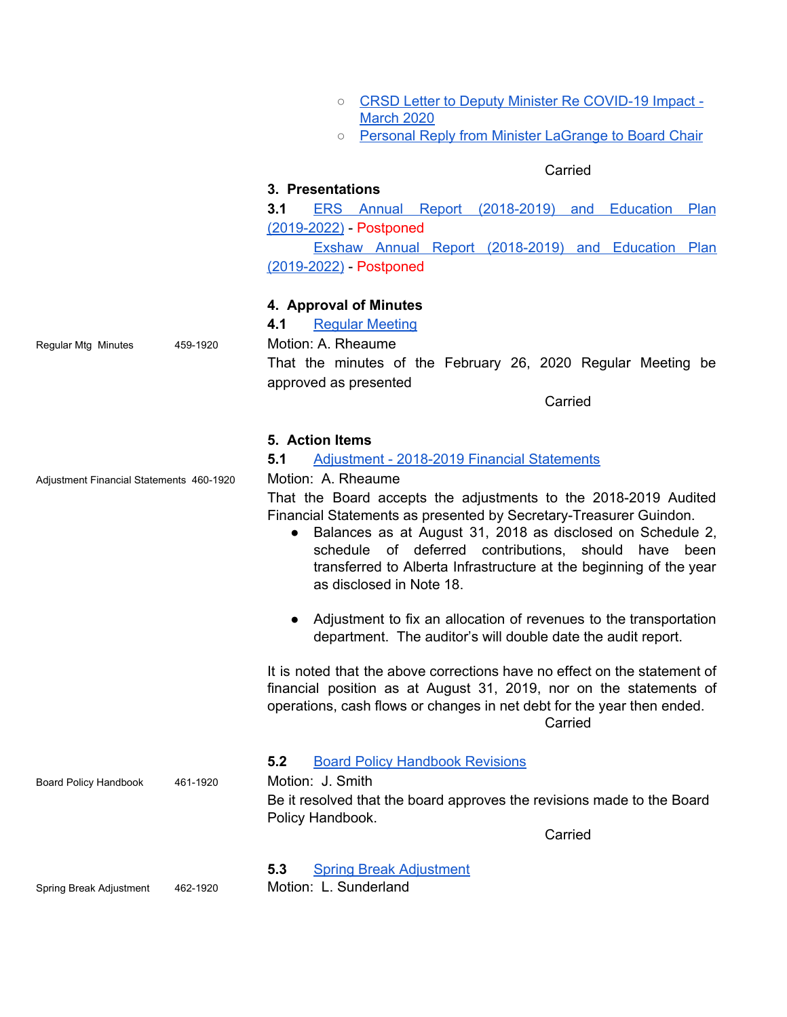|                   |  |  | ○ CRSD Letter to Deputy Minister Re COVID-19 Impact - |  |
|-------------------|--|--|-------------------------------------------------------|--|
| <b>March 2020</b> |  |  |                                                       |  |

○ Personal Reply from Minister [LaGrange](https://drive.google.com/file/d/1JBp8urb64onBfocVpaXfKZLHmXskJxzK/view?usp=sharing) to Board Chair

### **Carried**

# **3. Presentations**

**3.1** ERS Annual Report [\(2018-2019\)](https://ers.crps.ca/documents/general/Elizabeth%20Rummel%20Three%20Year%20Plan%202019-2022.pdf) and Education Plan [\(2019-2022\)](https://ers.crps.ca/documents/general/Elizabeth%20Rummel%20Three%20Year%20Plan%202019-2022.pdf) - Postponed

Exshaw Annual Report [\(2018-2019\)](https://exs.crps.ca/documents/general/Exshaw%20School%20Education%20Plan%202019-2022.pdf) and Education Plan [\(2019-2022\)](https://exs.crps.ca/documents/general/Exshaw%20School%20Education%20Plan%202019-2022.pdf) - Postponed

#### **4. Approval of Minutes**

**4.1** Regular [Meeting](https://crps.ca/documents/general/Minutes%20February%2026%202020.pdf)

Regular Mtg Minutes 459-1920 Motion: A. Rheaume

That the minutes of the February 26, 2020 Regular Meeting be approved as presented

**Carried** 

#### **5. Action Items**

#### **5.1** Adjustment - 2018-2019 Financial [Statements](https://drive.google.com/file/d/19ltK-2IlCLrbDZfVPdIUQ_r5Hws54Tx1/view?usp=sharing)

Adjustment Financial Statements 460-1920 Motion: A. Rheaume

That the Board accepts the adjustments to the 2018-2019 Audited Financial Statements as presented by Secretary-Treasurer Guindon.

- Balances as at August 31, 2018 as disclosed on Schedule 2, schedule of deferred contributions, should have been transferred to Alberta Infrastructure at the beginning of the year as disclosed in Note 18.
- Adjustment to fix an allocation of revenues to the transportation department. The auditor's will double date the audit report.

It is noted that the above corrections have no effect on the statement of financial position as at August 31, 2019, nor on the statements of operations, cash flows or changes in net debt for the year then ended. Carried

#### **5.2** Board Policy [Handbook](https://drive.google.com/file/d/1AK0RpRSnkkCaqWj2CirTbaMj569ZmePh/view?usp=sharing) Revisions

Board Policy Handbook 461-1920 Motion: J. Smith

Be it resolved that the board approves the revisions made to the Board Policy Handbook.

**Carried** 

**5.3** Spring Break [Adjustment](https://drive.google.com/file/d/1AOjYsHpZNZ_v2ESPIUBpwvhrPE6wGgI7/view?usp=sharing)

Spring Break Adjustment 462-1920 Motion: L. Sunderland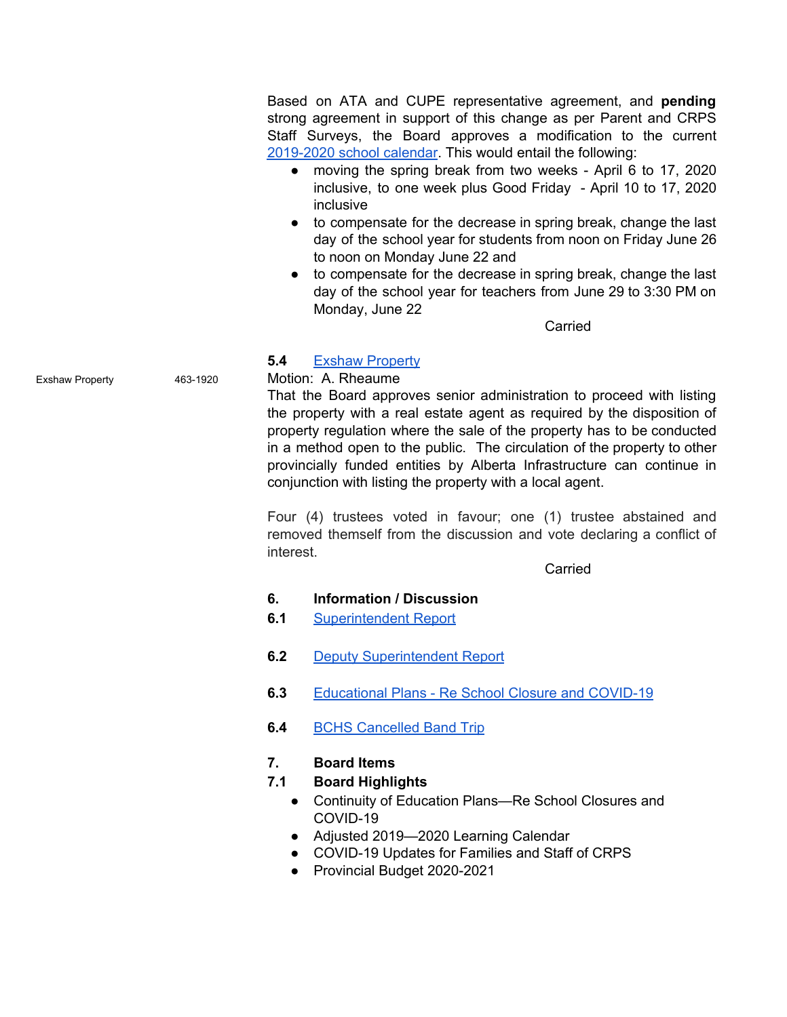Based on ATA and CUPE representative agreement, and **pending** strong agreement in support of this change as per Parent and CRPS Staff Surveys, the Board approves a modification to the current [2019-2020](https://crps.ca/documents/general/2019-20%20Learning%20Calendar.pdf) school calendar. This would entail the following:

- moving the spring break from two weeks April 6 to 17, 2020 inclusive, to one week plus Good Friday - April 10 to 17, 2020 inclusive
- to compensate for the decrease in spring break, change the last day of the school year for students from noon on Friday June 26 to noon on Monday June 22 and
- to compensate for the decrease in spring break, change the last day of the school year for teachers from June 29 to 3:30 PM on Monday, June 22

**Carried** 

### **5.4** Exshaw [Property](https://drive.google.com/file/d/1-7SZXaMhjl6BgsVh2e96naMd2YBf50lX/view?usp=sharing)

### Exshaw Property 463-1920 Motion: A. Rheaume

That the Board approves senior administration to proceed with listing the property with a real estate agent as required by the disposition of property regulation where the sale of the property has to be conducted in a method open to the public. The circulation of the property to other provincially funded entities by Alberta Infrastructure can continue in conjunction with listing the property with a local agent.

Four (4) trustees voted in favour; one (1) trustee abstained and removed themself from the discussion and vote declaring a conflict of interest.

Carried

#### **6. Information / Discussion**

- **6.1** [Superintendent](https://drive.google.com/file/d/1-5HXyJPQgUNFB8cTlL_XDJXc_fIvJzwo/view?usp=sharing) Report
- **6.2** Deputy [Superintendent](https://drive.google.com/file/d/1-6wsaPcTfo0LOf4aAPjGs5-EscEmObNn/view?usp=sharing) Report
- **6.3** [Educational](https://drive.google.com/file/d/1-09Zw7gKEDwhdORF4WA15-FvPLfw1t4Y/view?usp=sharing) Plans Re School Closure and COVID-19
- **6.4** BCHS [Cancelled](https://drive.google.com/file/d/1--SUkJYnsHknJ5JlhfZtB1Ct2rAC8m0H/view?usp=sharing) Band Trip

### **7. Board Items**

### **7.1 Board Highlights**

- Continuity of Education Plans—Re School Closures and COVID-19
- Adjusted 2019—2020 Learning Calendar
- COVID-19 Updates for Families and Staff of CRPS
- Provincial Budget 2020-2021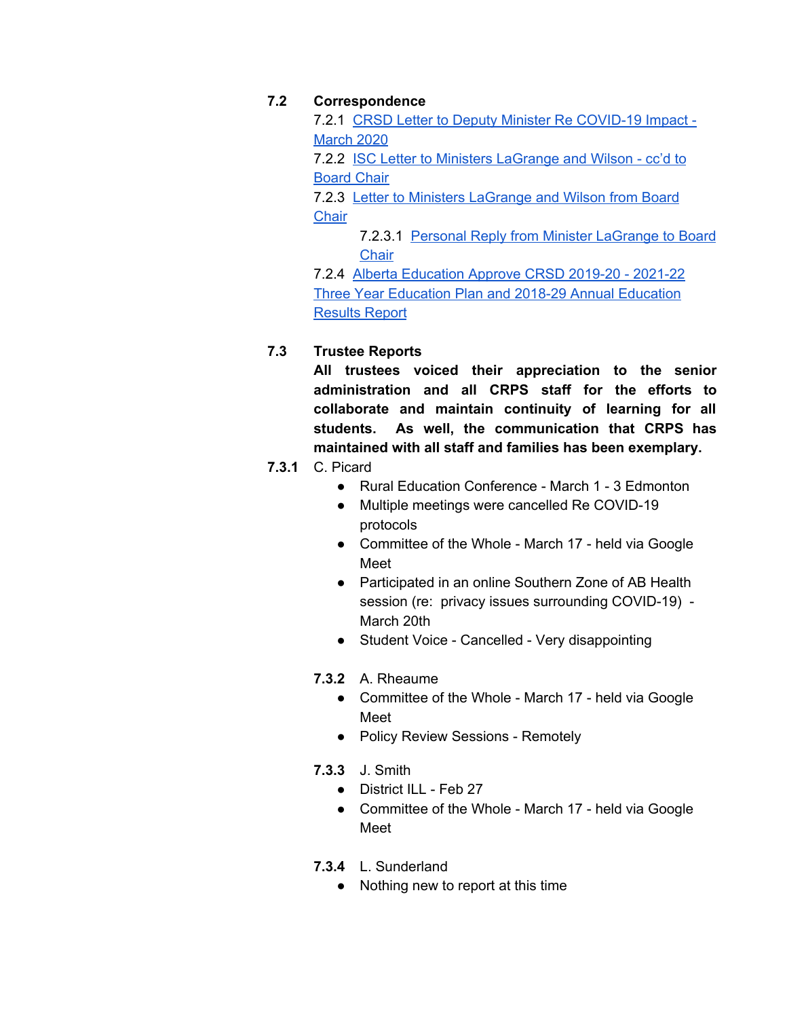# **7.2 Correspondence**

7.2.1 CRSD Letter to Deputy Minister Re [COVID-19](https://crps.ca/documents/general/CRSD%20Letter%20to%20Deputy%20Minister%20Re%20-%20Impact%20of%20COVID%2019%20March%202020.pdf) Impact - [March](https://crps.ca/documents/general/CRSD%20Letter%20to%20Deputy%20Minister%20Re%20-%20Impact%20of%20COVID%2019%20March%202020.pdf) 2020

7.2.2 ISC Letter to Ministers [LaGrange](https://crps.ca/documents/general/ISC%20Letter%20to%20Ministers%20LaGrange%20and%20Wilson%20CC%20to%20Bd%20Chair%20Feb%202020.pdf) and Wilson - cc'd to [Board](https://crps.ca/documents/general/ISC%20Letter%20to%20Ministers%20LaGrange%20and%20Wilson%20CC%20to%20Bd%20Chair%20Feb%202020.pdf) Chair

7.2.3 Letter to Ministers [LaGrange](https://crps.ca/documents/general/Letter%20to%20Ministers%20LaGrange%20and%20Wilson%20from%20Bd%20Chair%20Mar%202020.pdf) and Wilson from Board **[Chair](https://crps.ca/documents/general/Letter%20to%20Ministers%20LaGrange%20and%20Wilson%20from%20Bd%20Chair%20Mar%202020.pdf)** 

7.2.3.1 Personal Reply from Minister [LaGrange](https://crps.ca/documents/general/Personal%20Reply%20to%20Bd%20Chair%20from%20Minister%20LaGrange.pdf) to Board **[Chair](https://crps.ca/documents/general/Personal%20Reply%20to%20Bd%20Chair%20from%20Minister%20LaGrange.pdf)** 

7.2.4 Alberta [Education](https://crps.ca/documents/general/Alberta%20Education%20Approval%20CRSD%20Three%20Year%20Education%20Plan%20Mar%202020.pdf) Approve CRSD 2019-20 - 2021-22 Three Year Education Plan and 2018-29 Annual [Education](https://crps.ca/documents/general/Alberta%20Education%20Approval%20CRSD%20Three%20Year%20Education%20Plan%20Mar%202020.pdf) [Results](https://crps.ca/documents/general/Alberta%20Education%20Approval%20CRSD%20Three%20Year%20Education%20Plan%20Mar%202020.pdf) Report

# **7.3 Trustee Reports**

**All trustees voiced their appreciation to the senior administration and all CRPS staff for the efforts to collaborate and maintain continuity of learning for all students. As well, the communication that CRPS has maintained with all staff and families has been exemplary.**

# **7.3.1** C. Picard

- Rural Education Conference March 1 3 Edmonton
- Multiple meetings were cancelled Re COVID-19 protocols
- Committee of the Whole March 17 held via Google Meet
- Participated in an online Southern Zone of AB Health session (re: privacy issues surrounding COVID-19) - March 20th
- Student Voice Cancelled Very disappointing
- **7.3.2** A. Rheaume
	- Committee of the Whole March 17 held via Google Meet
	- Policy Review Sessions Remotely
- **7.3.3** J. Smith
	- District ILL Feb 27
	- Committee of the Whole March 17 held via Google Meet
- **7.3.4** L. Sunderland
	- Nothing new to report at this time